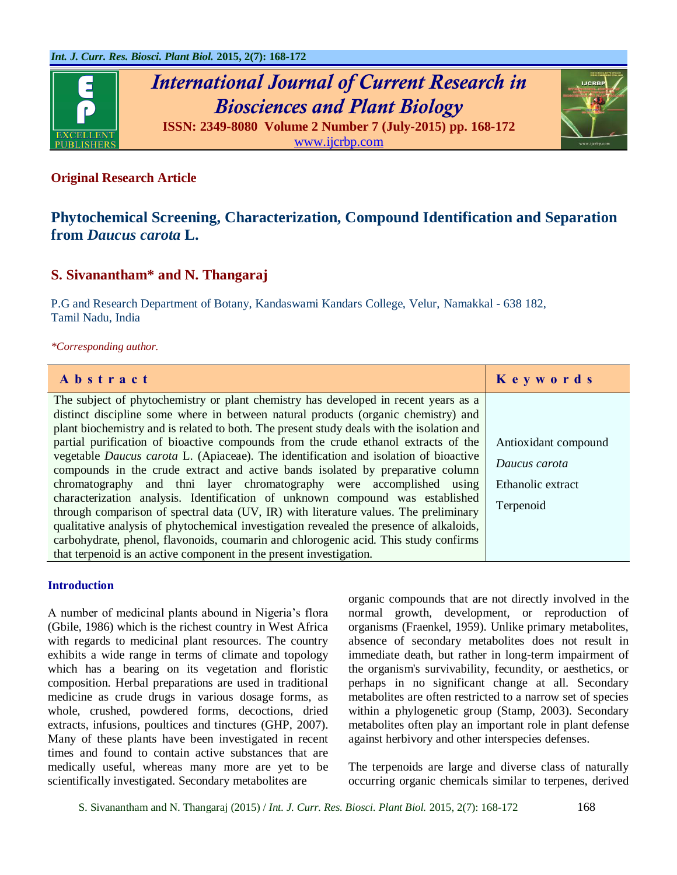

## **Original Research Article**

# **Phytochemical Screening, Characterization, Compound Identification and Separation from** *Daucus carota* **L.**

## **S. Sivanantham\* and N. Thangaraj**

P.G and Research Department of Botany, Kandaswami Kandars College, Velur, Namakkal - 638 182, Tamil Nadu, India

## *\*Corresponding author.*

| Abstract                                                                                                                                                                      | Keywords             |
|-------------------------------------------------------------------------------------------------------------------------------------------------------------------------------|----------------------|
| The subject of phytochemistry or plant chemistry has developed in recent years as a<br>distinct discipline some where in between natural products (organic chemistry) and     |                      |
| plant biochemistry and is related to both. The present study deals with the isolation and                                                                                     |                      |
| partial purification of bioactive compounds from the crude ethanol extracts of the                                                                                            | Antioxidant compound |
| vegetable <i>Daucus carota</i> L. (Apiaceae). The identification and isolation of bioactive<br>compounds in the crude extract and active bands isolated by preparative column | Daucus carota        |
| chromatography and thni layer chromatography were accomplished using                                                                                                          | Ethanolic extract    |
| characterization analysis. Identification of unknown compound was established<br>through comparison of spectral data (UV, IR) with literature values. The preliminary         | Terpenoid            |
| qualitative analysis of phytochemical investigation revealed the presence of alkaloids,                                                                                       |                      |
| carbohydrate, phenol, flavonoids, coumarin and chlorogenic acid. This study confirms                                                                                          |                      |
| that terpenoid is an active component in the present investigation.                                                                                                           |                      |

## **Introduction**

A number of medicinal plants abound in Nigeria's flora (Gbile, 1986) which is the richest country in West Africa with regards to medicinal plant resources. The country exhibits a wide range in terms of climate and topology which has a bearing on its vegetation and floristic composition. Herbal preparations are used in traditional medicine as crude drugs in various dosage forms, as whole, crushed, powdered forms, decoctions, dried extracts, infusions, poultices and tinctures (GHP, 2007). Many of these plants have been investigated in recent times and found to contain active substances that are medically useful, whereas many more are yet to be scientifically investigated. Secondary metabolites are

organic compounds that are not directly involved in the normal growth, development, or reproduction of organisms (Fraenkel, 1959). Unlike primary metabolites, absence of secondary metabolites does not result in immediate death, but rather in long-term impairment of the organism's survivability, fecundity, or aesthetics, or perhaps in no significant change at all. Secondary metabolites are often restricted to a narrow set of species within a phylogenetic group (Stamp, 2003). Secondary metabolites often play an important role in plant defense against herbivory and other interspecies defenses.

The terpenoids are large and diverse class of naturally occurring organic chemicals similar to terpenes, derived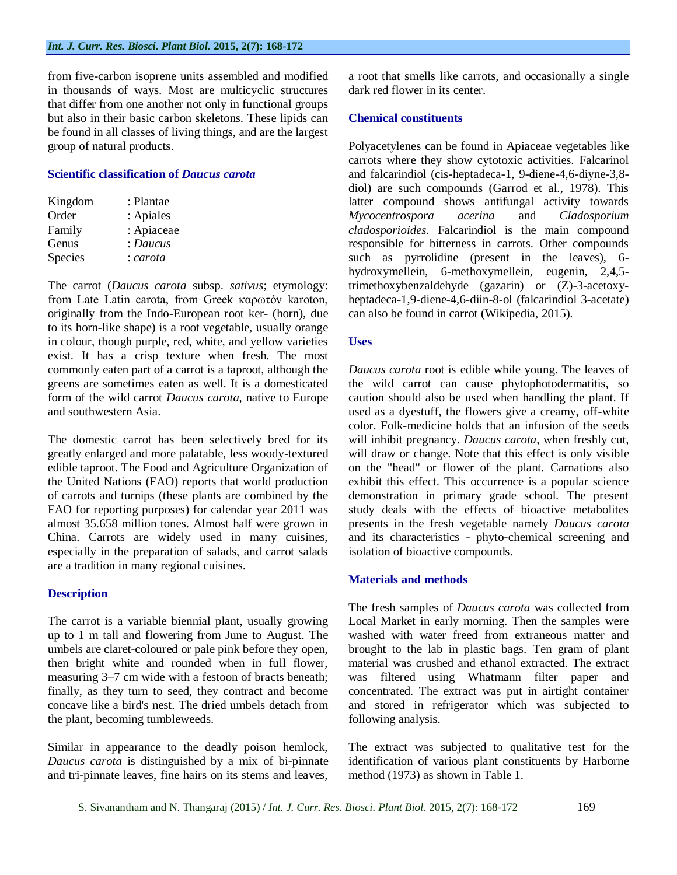from five-carbon isoprene units assembled and modified in thousands of ways. Most are multicyclic structures that differ from one another not only in functional groups but also in their basic carbon skeletons. These lipids can be found in all classes of living things, and are the largest group of natural products.

#### **Scientific classification of** *Daucus carota*

| Kingdom        | : Plantae  |
|----------------|------------|
| Order          | : Apiales  |
| Family         | : Apiaceae |
| Genus          | : Daucus   |
| <b>Species</b> | : carota   |

The carrot (*Daucus carota* subsp. *sativus*; etymology: from Late Latin carota, from Greek καρωτόν karoton, originally from the Indo-European root ker- (horn), due to its horn-like shape) is a root vegetable, usually orange in colour, though purple, red, white, and yellow varieties exist. It has a crisp texture when fresh. The most commonly eaten part of a carrot is a taproot, although the greens are sometimes eaten as well. It is a domesticated form of the wild carrot *Daucus carota*, native to Europe and southwestern Asia.

The domestic carrot has been selectively bred for its greatly enlarged and more palatable, less woody-textured edible taproot. The Food and Agriculture Organization of the United Nations (FAO) reports that world production of carrots and turnips (these plants are combined by the FAO for reporting purposes) for calendar year 2011 was almost 35.658 million tones. Almost half were grown in China. Carrots are widely used in many cuisines, especially in the preparation of salads, and carrot salads are a tradition in many regional cuisines.

## **Description**

The carrot is a variable biennial plant, usually growing up to 1 m tall and flowering from June to August. The umbels are claret-coloured or pale pink before they open, then bright white and rounded when in full flower, measuring 3–7 cm wide with a festoon of bracts beneath; finally, as they turn to seed, they contract and become concave like a bird's nest. The dried umbels detach from the plant, becoming tumbleweeds.

Similar in appearance to the deadly poison hemlock, *Daucus carota* is distinguished by a mix of bi-pinnate and tri-pinnate leaves, fine hairs on its stems and leaves, a root that smells like carrots, and occasionally a single dark red flower in its center.

## **Chemical constituents**

Polyacetylenes can be found in Apiaceae vegetables like carrots where they show cytotoxic activities. Falcarinol and falcarindiol (cis-heptadeca-1, 9-diene-4,6-diyne-3,8 diol) are such compounds (Garrod et al., 1978). This latter compound shows antifungal activity towards *Mycocentrospora acerina* and *Cladosporium cladosporioides*. Falcarindiol is the main compound responsible for bitterness in carrots. Other compounds such as pyrrolidine (present in the leaves), 6 hydroxymellein, 6-methoxymellein, eugenin, 2,4,5 trimethoxybenzaldehyde (gazarin) or (Z)-3-acetoxyheptadeca-1,9-diene-4,6-diin-8-ol (falcarindiol 3-acetate) can also be found in carrot (Wikipedia, 2015).

#### **Uses**

*Daucus carota* root is edible while young. The leaves of the wild carrot can cause phytophotodermatitis, so caution should also be used when handling the plant. If used as a dyestuff, the flowers give a creamy, off-white color. Folk-medicine holds that an infusion of the seeds will inhibit pregnancy. *Daucus carota*, when freshly cut, will draw or change. Note that this effect is only visible on the "head" or flower of the plant. Carnations also exhibit this effect. This occurrence is a popular science demonstration in primary grade school. The present study deals with the effects of bioactive metabolites presents in the fresh vegetable namely *Daucus carota* and its characteristics - phyto-chemical screening and isolation of bioactive compounds.

#### **Materials and methods**

The fresh samples of *Daucus carota* was collected from Local Market in early morning. Then the samples were washed with water freed from extraneous matter and brought to the lab in plastic bags. Ten gram of plant material was crushed and ethanol extracted. The extract was filtered using Whatmann filter paper and concentrated. The extract was put in airtight container and stored in refrigerator which was subjected to following analysis.

The extract was subjected to qualitative test for the identification of various plant constituents by Harborne method (1973) as shown in Table 1.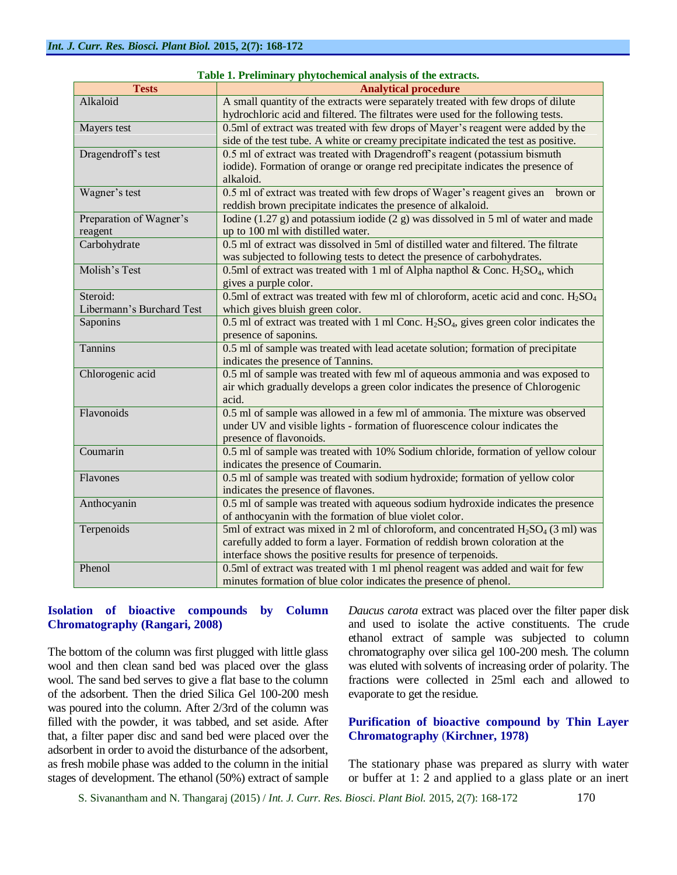| <b>Tests</b>              | <b>Analytical procedure</b>                                                               |
|---------------------------|-------------------------------------------------------------------------------------------|
| Alkaloid                  | A small quantity of the extracts were separately treated with few drops of dilute         |
|                           | hydrochloric acid and filtered. The filtrates were used for the following tests.          |
| Mayers test               | 0.5ml of extract was treated with few drops of Mayer's reagent were added by the          |
|                           | side of the test tube. A white or creamy precipitate indicated the test as positive.      |
| Dragendroff's test        | 0.5 ml of extract was treated with Dragendroff's reagent (potassium bismuth               |
|                           | iodide). Formation of orange or orange red precipitate indicates the presence of          |
|                           | alkaloid.                                                                                 |
| Wagner's test             | 0.5 ml of extract was treated with few drops of Wager's reagent gives an<br>brown or      |
|                           | reddish brown precipitate indicates the presence of alkaloid.                             |
| Preparation of Wagner's   | Iodine $(1.27 g)$ and potassium iodide $(2 g)$ was dissolved in 5 ml of water and made    |
| reagent                   | up to 100 ml with distilled water.                                                        |
| Carbohydrate              | 0.5 ml of extract was dissolved in 5ml of distilled water and filtered. The filtrate      |
|                           | was subjected to following tests to detect the presence of carbohydrates.                 |
| Molish's Test             | 0.5ml of extract was treated with 1 ml of Alpha napthol & Conc. $H_2SO_4$ , which         |
|                           | gives a purple color.                                                                     |
| Steroid:                  | 0.5ml of extract was treated with few ml of chloroform, acetic acid and conc. $H_2SO_4$   |
| Libermann's Burchard Test | which gives bluish green color.                                                           |
| Saponins                  | 0.5 ml of extract was treated with 1 ml Conc. $H_2SO_4$ , gives green color indicates the |
|                           | presence of saponins.                                                                     |
| Tannins                   | 0.5 ml of sample was treated with lead acetate solution; formation of precipitate         |
|                           | indicates the presence of Tannins.                                                        |
| Chlorogenic acid          | 0.5 ml of sample was treated with few ml of aqueous ammonia and was exposed to            |
|                           | air which gradually develops a green color indicates the presence of Chlorogenic          |
|                           | acid.                                                                                     |
| Flavonoids                | 0.5 ml of sample was allowed in a few ml of ammonia. The mixture was observed             |
|                           | under UV and visible lights - formation of fluorescence colour indicates the              |
|                           | presence of flavonoids.                                                                   |
| Coumarin                  | 0.5 ml of sample was treated with 10% Sodium chloride, formation of yellow colour         |
|                           | indicates the presence of Coumarin.                                                       |
| Flavones                  | 0.5 ml of sample was treated with sodium hydroxide; formation of yellow color             |
|                           | indicates the presence of flavones.                                                       |
| Anthocyanin               | 0.5 ml of sample was treated with aqueous sodium hydroxide indicates the presence         |
|                           | of anthocyanin with the formation of blue violet color.                                   |
| Terpenoids                | 5ml of extract was mixed in 2 ml of chloroform, and concentrated $H_2SO_4$ (3 ml) was     |
|                           | carefully added to form a layer. Formation of reddish brown coloration at the             |
|                           | interface shows the positive results for presence of terpenoids.                          |
| Phenol                    | 0.5ml of extract was treated with 1 ml phenol reagent was added and wait for few          |
|                           | minutes formation of blue color indicates the presence of phenol.                         |

|  | Table 1. Preliminary phytochemical analysis of the extracts. |  |  |  |
|--|--------------------------------------------------------------|--|--|--|
|--|--------------------------------------------------------------|--|--|--|

## **Isolation of bioactive compounds by Column Chromatography (Rangari, 2008)**

The bottom of the column was first plugged with little glass wool and then clean sand bed was placed over the glass wool. The sand bed serves to give a flat base to the column of the adsorbent. Then the dried Silica Gel 100-200 mesh was poured into the column. After 2/3rd of the column was filled with the powder, it was tabbed, and set aside. After that, a filter paper disc and sand bed were placed over the adsorbent in order to avoid the disturbance of the adsorbent, as fresh mobile phase was added to the column in the initial stages of development. The ethanol (50%) extract of sample

*Daucus carota* extract was placed over the filter paper disk and used to isolate the active constituents. The crude ethanol extract of sample was subjected to column chromatography over silica gel 100-200 mesh. The column was eluted with solvents of increasing order of polarity. The fractions were collected in 25ml each and allowed to evaporate to get the residue.

## **Purification of bioactive compound by Thin Layer Chromatography** (**Kirchner, 1978)**

The stationary phase was prepared as slurry with water or buffer at 1: 2 and applied to a glass plate or an inert

S. Sivanantham and N. Thangaraj (2015) / *Int. J. Curr. Res. Biosci. Plant Biol.* 2015, 2(7): 168-172 170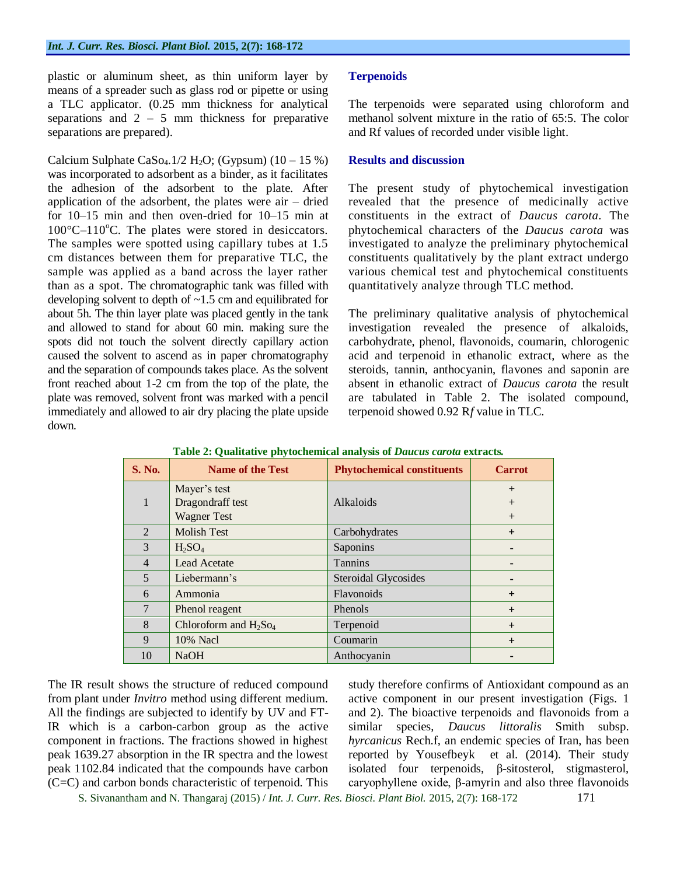plastic or aluminum sheet, as thin uniform layer by means of a spreader such as glass rod or pipette or using a TLC applicator. (0.25 mm thickness for analytical separations and  $2 - 5$  mm thickness for preparative separations are prepared).

Calcium Sulphate CaSo<sub>4</sub>.1/2 H<sub>2</sub>O; (Gypsum)  $(10 - 15\%)$ was incorporated to adsorbent as a binder, as it facilitates the adhesion of the adsorbent to the plate. After application of the adsorbent, the plates were air – dried for 10–15 min and then oven-dried for 10–15 min at  $100^{\circ}$ C–110<sup>°</sup>C. The plates were stored in desiccators. The samples were spotted using capillary tubes at 1.5 cm distances between them for preparative TLC, the sample was applied as a band across the layer rather than as a spot. The chromatographic tank was filled with developing solvent to depth of ~1.5 cm and equilibrated for about 5h. The thin layer plate was placed gently in the tank and allowed to stand for about 60 min. making sure the spots did not touch the solvent directly capillary action caused the solvent to ascend as in paper chromatography and the separation of compounds takes place. As the solvent front reached about 1-2 cm from the top of the plate, the plate was removed, solvent front was marked with a pencil immediately and allowed to air dry placing the plate upside down.

#### **Terpenoids**

The terpenoids were separated using chloroform and methanol solvent mixture in the ratio of 65:5. The color and Rf values of recorded under visible light.

#### **Results and discussion**

The present study of phytochemical investigation revealed that the presence of medicinally active constituents in the extract of *Daucus carota*. The phytochemical characters of the *Daucus carota* was investigated to analyze the preliminary phytochemical constituents qualitatively by the plant extract undergo various chemical test and phytochemical constituents quantitatively analyze through TLC method.

The preliminary qualitative analysis of phytochemical investigation revealed the presence of alkaloids, carbohydrate, phenol, flavonoids, coumarin, chlorogenic acid and terpenoid in ethanolic extract, where as the steroids, tannin, anthocyanin, flavones and saponin are absent in ethanolic extract of *Daucus carota* the result are tabulated in Table 2. The isolated compound, terpenoid showed 0.92 R*f* value in TLC.

| <b>S. No.</b>   | ------ -- <del>-</del> ---------- - - - - - - - -<br><b>Name of the Test</b> | <b>Phytochemical constituents</b> | <b>Carrot</b> |
|-----------------|------------------------------------------------------------------------------|-----------------------------------|---------------|
|                 | Mayer's test                                                                 |                                   | $+$           |
| $\mathbf{1}$    | Dragondraff test                                                             | Alkaloids                         | $+$           |
|                 | <b>Wagner Test</b>                                                           |                                   | $+$           |
| $\mathfrak{D}$  | <b>Molish Test</b>                                                           | Carbohydrates                     | $+$           |
| 3               | $H_2SO_4$                                                                    | Saponins                          |               |
| $\overline{4}$  | <b>Lead Acetate</b>                                                          | Tannins                           |               |
| 5               | Liebermann's                                                                 | <b>Steroidal Glycosides</b>       |               |
| 6               | Ammonia                                                                      | Flavonoids                        | $+$           |
| $7\phantom{.0}$ | Phenol reagent                                                               | <b>Phenols</b>                    | $+$           |
| 8               | Chloroform and $H_2$ So <sub>4</sub>                                         | Terpenoid                         | $+$           |
| 9               | 10% Nacl                                                                     | Coumarin                          | $+$           |
| 10              | <b>NaOH</b>                                                                  | Anthocyanin                       |               |

**Table 2: Qualitative phytochemical analysis of** *Daucus carota* **extracts***.*

The IR result shows the structure of reduced compound from plant under *Invitro* method using different medium. All the findings are subjected to identify by UV and FT-IR which is a carbon-carbon group as the active component in fractions. The fractions showed in highest peak 1639.27 absorption in the IR spectra and the lowest peak 1102.84 indicated that the compounds have carbon (C=C) and carbon bonds characteristic of terpenoid. This

study therefore confirms of Antioxidant compound as an active component in our present investigation (Figs. 1 and 2). The bioactive terpenoids and flavonoids from a similar species, *Daucus littoralis* Smith subsp. *hyrcanicus* Rech.f, an endemic species of Iran, has been reported by Yousefbeyk et al. (2014). Their study isolated four terpenoids, β-sitosterol, stigmasterol, caryophyllene oxide, β-amyrin and also three flavonoids

S. Sivanantham and N. Thangaraj (2015) / *Int. J. Curr. Res. Biosci. Plant Biol.* 2015, 2(7): 168-172 171